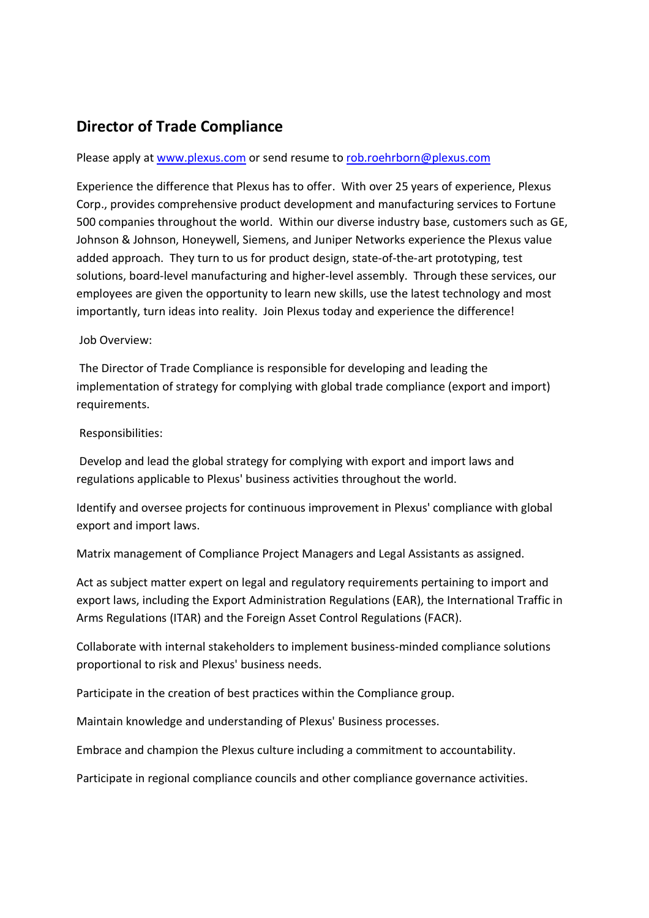## **Director of Trade Compliance**

## Please apply at www.plexus.com or send resume to rob.roehrborn@plexus.com

Experience the difference that Plexus has to offer. With over 25 years of experience, Plexus Corp., provides comprehensive product development and manufacturing services to Fortune 500 companies throughout the world. Within our diverse industry base, customers such as GE, Johnson & Johnson, Honeywell, Siemens, and Juniper Networks experience the Plexus value added approach. They turn to us for product design, state-of-the-art prototyping, test solutions, board-level manufacturing and higher-level assembly. Through these services, our employees are given the opportunity to learn new skills, use the latest technology and most importantly, turn ideas into reality. Join Plexus today and experience the difference!

Job Overview:

 The Director of Trade Compliance is responsible for developing and leading the implementation of strategy for complying with global trade compliance (export and import) requirements.

## Responsibilities:

 Develop and lead the global strategy for complying with export and import laws and regulations applicable to Plexus' business activities throughout the world.

Identify and oversee projects for continuous improvement in Plexus' compliance with global export and import laws.

Matrix management of Compliance Project Managers and Legal Assistants as assigned.

Act as subject matter expert on legal and regulatory requirements pertaining to import and export laws, including the Export Administration Regulations (EAR), the International Traffic in Arms Regulations (ITAR) and the Foreign Asset Control Regulations (FACR).

Collaborate with internal stakeholders to implement business-minded compliance solutions proportional to risk and Plexus' business needs.

Participate in the creation of best practices within the Compliance group.

Maintain knowledge and understanding of Plexus' Business processes.

Embrace and champion the Plexus culture including a commitment to accountability.

Participate in regional compliance councils and other compliance governance activities.